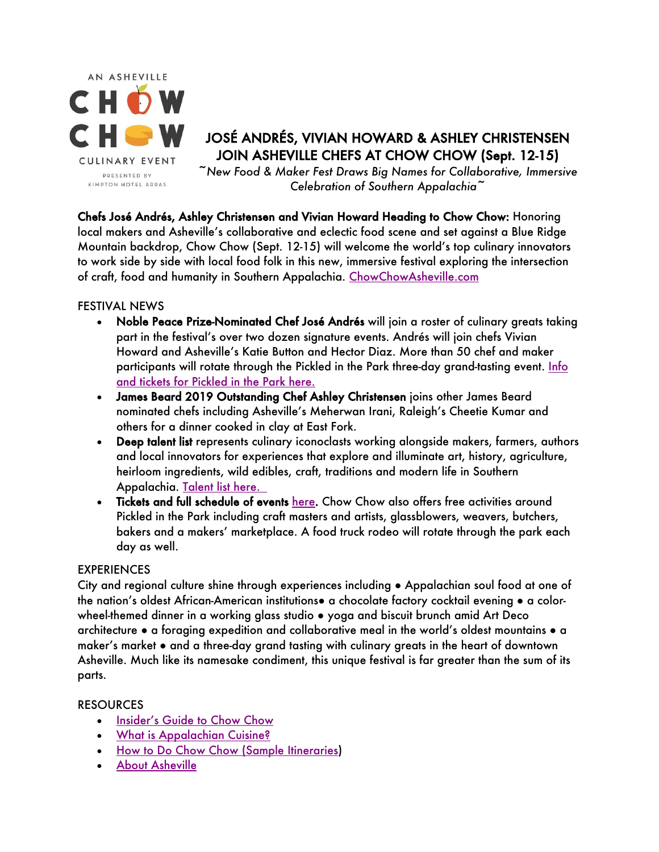

# JOSÉ ANDRÉS, VIVIAN HOWARD & ASHLEY CHRISTENSEN JOIN ASHEVILLE CHEFS AT CHOW CHOW (Sept. 12-15)

*~New Food & Maker Fest Draws Big Names for Collaborative, Immersive Celebration of Southern Appalachia~*

Chefs José Andrés, Ashley Christensen and Vivian Howard Heading to Chow Chow: Honoring local makers and Asheville's collaborative and eclectic food scene and set against a Blue Ridge Mountain backdrop, Chow Chow (Sept. 12-15) will welcome the world's top culinary innovators to work side by side with local food folk in this new, immersive festival exploring the intersection of craft, food and humanity in Southern Appalachia. ChowChowAsheville.com

#### FESTIVAL NEWS

- Noble Peace Prize-Nominated Chef José Andrés will join a roster of culinary greats taking part in the festival's over two dozen signature events. Andrés will join chefs Vivian Howard and Asheville's Katie Button and Hector Diaz. More than 50 chef and maker participants will rotate through the Pickled in the Park three-day grand-tasting event. Info and tickets for Pickled in the Park here.
- James Beard 2019 Outstanding Chef Ashley Christensen joins other James Beard nominated chefs including Asheville's Meherwan Irani, Raleigh's Cheetie Kumar and others for a dinner cooked in clay at East Fork.
- Deep talent list represents culinary iconoclasts working alongside makers, farmers, authors and local innovators for experiences that explore and illuminate art, history, agriculture, heirloom ingredients, wild edibles, craft, traditions and modern life in Southern Appalachia. Talent list here.
- Tickets and full schedule of events here. Chow Chow also offers free activities around Pickled in the Park including craft masters and artists, glassblowers, weavers, butchers, bakers and a makers' marketplace. A food truck rodeo will rotate through the park each day as well.

### **EXPERIENCES**

City and regional culture shine through experiences including ● Appalachian soul food at one of the nation's oldest African-American institutions● a chocolate factory cocktail evening ● a colorwheel-themed dinner in a working glass studio ● yoga and biscuit brunch amid Art Deco architecture • a foraging expedition and collaborative meal in the world's oldest mountains • a maker's market ● and a three-day grand tasting with culinary greats in the heart of downtown Asheville. Much like its namesake condiment, this unique festival is far greater than the sum of its parts.

### RESOURCES

- Insider's Guide to Chow Chow
- What is Appalachian Cuisine?
- How to Do Chow Chow (Sample Itineraries)
- About Asheville